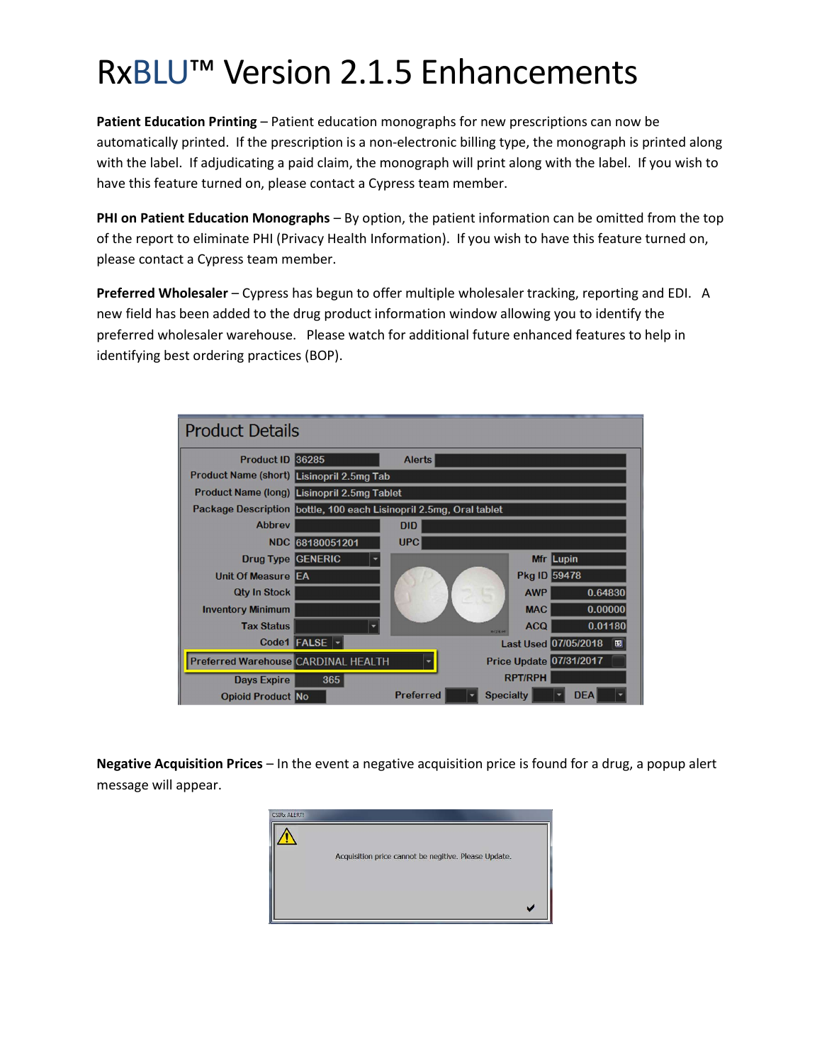# RxBLU™ Version 2.1.5 Enhancements

Patient Education Printing – Patient education monographs for new prescriptions can now be automatically printed. If the prescription is a non-electronic billing type, the monograph is printed along with the label. If adjudicating a paid claim, the monograph will print along with the label. If you wish to have this feature turned on, please contact a Cypress team member.

PHI on Patient Education Monographs – By option, the patient information can be omitted from the top of the report to eliminate PHI (Privacy Health Information). If you wish to have this feature turned on, please contact a Cypress team member.

Preferred Wholesaler – Cypress has begun to offer multiple wholesaler tracking, reporting and EDI. A new field has been added to the drug product information window allowing you to identify the preferred wholesaler warehouse. Please watch for additional future enhanced features to help in identifying best ordering practices (BOP).

| <b>Product Details</b>                     |                                                                    |                  |                                        |  |  |
|--------------------------------------------|--------------------------------------------------------------------|------------------|----------------------------------------|--|--|
| <b>Product ID 36285</b>                    |                                                                    | <b>Alerts</b>    |                                        |  |  |
| Product Name (short) Lisinopril 2.5mg Tab  |                                                                    |                  |                                        |  |  |
|                                            | Product Name (long) Lisinopril 2.5mg Tablet                        |                  |                                        |  |  |
|                                            | Package Description bottle, 100 each Lisinopril 2.5mg, Oral tablet |                  |                                        |  |  |
| <b>Abbrev</b>                              |                                                                    | <b>DID</b>       |                                        |  |  |
| <b>NDC</b>                                 | 68180051201                                                        | <b>UPC</b>       |                                        |  |  |
| <b>Drug Type GENERIC</b>                   |                                                                    |                  | Mfr Lupin                              |  |  |
| Unit Of Measure EA                         |                                                                    |                  | <b>Pkg ID 59478</b>                    |  |  |
| <b>Qty In Stock</b>                        |                                                                    |                  | <b>AWP</b><br>0.64830                  |  |  |
| <b>Inventory Minimum</b>                   |                                                                    |                  | <b>MAC</b><br>0.00000                  |  |  |
| <b>Tax Status</b>                          |                                                                    |                  | 0.01180<br><b>ACQ</b><br><b>DISKIP</b> |  |  |
|                                            | Code1 FALSE                                                        |                  | <b>Last Used 07/05/2018</b><br>国       |  |  |
| <b>Preferred Warehouse CARDINAL HEALTH</b> |                                                                    |                  | <b>Price Update 07/31/2017</b>         |  |  |
| <b>Days Expire</b>                         | 365                                                                |                  | <b>RPT/RPH</b>                         |  |  |
| <b>Opioid Product No</b>                   |                                                                    | <b>Preferred</b> | <b>Specialty</b><br><b>DEA</b>         |  |  |

Negative Acquisition Prices – In the event a negative acquisition price is found for a drug, a popup alert message will appear.

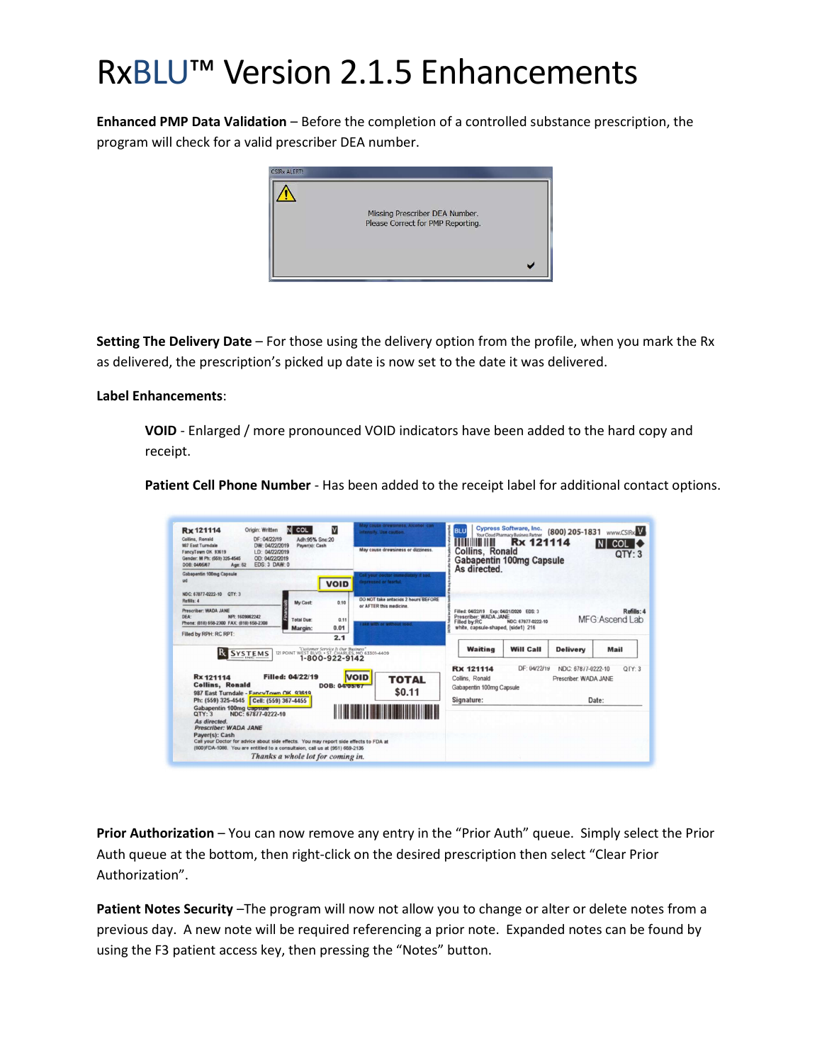# RxBLU™ Version 2.1.5 Enhancements

Enhanced PMP Data Validation – Before the completion of a controlled substance prescription, the program will check for a valid prescriber DEA number.



Setting The Delivery Date – For those using the delivery option from the profile, when you mark the Rx as delivered, the prescription's picked up date is now set to the date it was delivered.

#### Label Enhancements:

VOID - Enlarged / more pronounced VOID indicators have been added to the hard copy and receipt.

Patient Cell Phone Number - Has been added to the receipt label for additional contact options.

| M<br>Origin: Written<br>N COL<br><b>Rx 121114</b><br>DF: 04/22/19<br>Collins, Ronald<br>Adh:95% Snc:20<br>987 East Turndale<br>DW: 04/22/2019<br>Paver(s): Cash<br>FancyTown OK 93619<br>LD: 04/22/2019<br>OD: 04/22/2019<br>Gender: M Ph: (559) 325-4545<br><b>EDS: 3 DAW: 0</b><br><b>DOR: 04/05/67</b><br>Age: 52 | May cause drowsmess, Alconol can<br>intensify. Use caution.<br>May cause drowsiness or dizziness.   | Cypress Software, Inc.<br><b>BLL</b><br>www.CSIRx<br>(800) 205-1831<br>Your Cloud Pharmacy Business Partner<br>Rx 121114<br>MINITE AN<br><b>COL</b><br>IN.<br><b>Collins, Ronald</b><br>QTY:3<br><b>Gabapentin 100mg Capsule</b><br>As directed. |
|----------------------------------------------------------------------------------------------------------------------------------------------------------------------------------------------------------------------------------------------------------------------------------------------------------------------|-----------------------------------------------------------------------------------------------------|--------------------------------------------------------------------------------------------------------------------------------------------------------------------------------------------------------------------------------------------------|
| Gabapentin 100mg Capsule<br>ud<br><b>VOID</b><br>NDC: 67877-0222-10 OTY: 3                                                                                                                                                                                                                                           | Call your doctor immediately if sad,<br>depressed or fearful.                                       |                                                                                                                                                                                                                                                  |
| Refille 4<br>My Cost:<br>0.10<br>Prescriber: WADA JANE<br>NPI: 1609862242<br>DFA:<br><b>Total Due:</b><br>Phone: (818) 658-2300 FAX: (818) 658-2308<br>0.01<br>Margin:                                                                                                                                               | DO NOT take antacids 2 hours BEFORE<br>or AFTER this medicine.<br>0.11<br>ake with or without lood. | Refills: 4<br>Filled: 04/22/19 Exp: 04/21/2020 EDS: 3<br>Prescriber: WADA JANE<br>MFG: Ascend Lab<br>NDC: 67877-0222-10<br>Filled by:RC<br>white, capsule-shaped, (side1) 216                                                                    |
| Filled by RPH: RC RPT:<br>2.1<br>"Customer Service Is Our Business"<br>ІR<br><b>SYSTEMS</b><br>121 POINT WEST BLVD. . ST. CHARLES, MO 63301-4409<br>1-800-922-9142                                                                                                                                                   |                                                                                                     | <b>Waiting</b><br><b>Will Call</b><br><b>Delivery</b><br>Mail                                                                                                                                                                                    |
| Filled: 04/22/19<br>Rx 121114<br><b>Collins, Ronald</b><br><b>DOB: 04705767</b><br>987 East Turndale - FancyTown OK 93619                                                                                                                                                                                            | <b>VOID</b><br><b>TOTAL</b><br>\$0.11                                                               | DF: 04/22/19<br>NDC: 67877-0222-10<br>Q[Y:3]<br><b>Rx 121114</b><br>Collins, Ronald<br>Prescriber: WADA JANE<br>Gabapentin 100mg Capsule                                                                                                         |
| Ph: (559) 325-4545 Cell: (559) 367-4455<br>Gabapentin 100mg capsure<br>QTY:3<br>NDC: 67877-0222-10<br>As directed.<br><b>Prescriber: WADA JANE</b>                                                                                                                                                                   |                                                                                                     | Signature:<br>Date:                                                                                                                                                                                                                              |
| Payer(s): Cash<br>Call your Doctor for advice about side effects. You may report side effects to FDA at<br>(800)FDA-1088. You are entitled to a consultaion, call us at (951) 659-2135.<br>Thanks a whole lot for coming in.                                                                                         |                                                                                                     |                                                                                                                                                                                                                                                  |

Prior Authorization - You can now remove any entry in the "Prior Auth" queue. Simply select the Prior Auth queue at the bottom, then right-click on the desired prescription then select "Clear Prior Authorization".

Patient Notes Security -The program will now not allow you to change or alter or delete notes from a previous day. A new note will be required referencing a prior note. Expanded notes can be found by using the F3 patient access key, then pressing the "Notes" button.